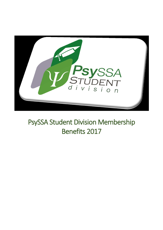

# PsySSA Student Division Membership Benefits 2017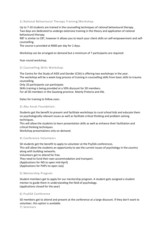1) Rational Behavioural Therapy Training/Workshop:

Up to 7-10 students are trained in the counselling techniques of rational behavioural therapy. Two days are dedicated to undergo extensive training in the theory and application of rational behavioural therapy.

RBT is similar to CBT, however it allows you to teach your client skills on self-empowerment and selfcounselling.

The course is provided at R600 per day for 2 days.

Workshop can be arranged on demand but a minimum of 7 participants are required.

Year-round workshop.

## 2) Counselling Skills Workshop.

The Centre for the Study of AIDS and Gender (CSA) is offering two workshops in the year. The workshop will be a week-long process of training in counselling skills from basic skills to trauma counselling.

Only 10 participants can participate.

Skills training is being provided at a 50% discount for SD members. For all SD members in the Gauteng province. Mainly Pretoria and Jhb.

Dates for training to follow soon.

#### 3) Abu Asvat Foundation:

Students get the benefit to present and facilitate workshops to rural school kids and educate them on psychologically relevant issues as well as facilitate critical thinking and problem solving techniques.

This will allow the students to learn presentation skills as well as enhance their facilitation and critical thinking techniques.

Workshop presentations only on demand.

## 4) Conference Volunteers

SD students get the benefit to apply to volunteer at the PsySSA conferences. This will allow the students an opportunity to see the current issues of psychology in the country along with building networks. Volunteers get to attend for free. They need to fund their own accommodation and transport. (Applications for INS to open mid-April)

(Applications for PAPU to open July)

## 5) Mentorship Program

Student members get to apply for our mentorship program. A student gets assigned a student mentor to guide them in understanding the field of psychology. (applications closed for the year)

#### 6) PsySSA Conference

SD members get to attend and present at the conference at a large discount. If they don't want to volunteer, this option is available.

7) Seminars